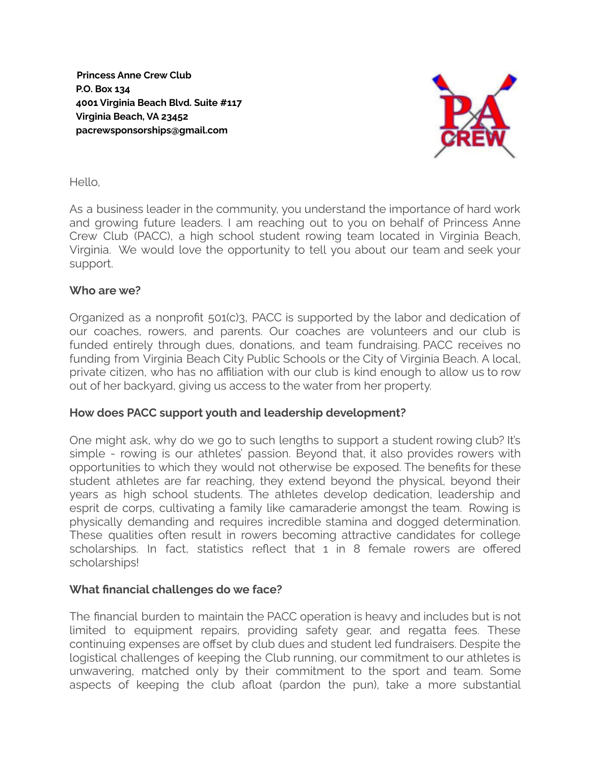**Princess Anne Crew Club P.O. Box 134 4001 Virginia Beach Blvd. Suite #117 Virginia Beach, VA 23452 pacrewsponsorships@gmail.com**



#### Hello,

As a business leader in the community, you understand the importance of hard work and growing future leaders. I am reaching out to you on behalf of Princess Anne Crew Club (PACC), a high school student rowing team located in Virginia Beach, Virginia. We would love the opportunity to tell you about our team and seek your support.

#### **Who are we?**

Organized as a nonprofit 501(c)3, PACC is supported by the labor and dedication of our coaches, rowers, and parents. Our coaches are volunteers and our club is funded entirely through dues, donations, and team fundraising. PACC receives no funding from Virginia Beach City Public Schools or the City of Virginia Beach. A local, private citizen, who has no affiliation with our club is kind enough to allow us to row out of her backyard, giving us access to the water from her property.

# **How does PACC support youth and leadership development?**

One might ask, why do we go to such lengths to support a student rowing club? It's simple - rowing is our athletes' passion. Beyond that, it also provides rowers with opportunities to which they would not otherwise be exposed. The benefits for these student athletes are far reaching, they extend beyond the physical, beyond their years as high school students. The athletes develop dedication, leadership and esprit de corps, cultivating a family like camaraderie amongst the team. Rowing is physically demanding and requires incredible stamina and dogged determination. These qualities often result in rowers becoming attractive candidates for college scholarships. In fact, statistics reflect that 1 in 8 female rowers are offered scholarships!

# **What financial challenges do we face?**

The financial burden to maintain the PACC operation is heavy and includes but is not limited to equipment repairs, providing safety gear, and regatta fees. These continuing expenses are offset by club dues and student led fundraisers. Despite the logistical challenges of keeping the Club running, our commitment to our athletes is unwavering, matched only by their commitment to the sport and team. Some aspects of keeping the club afloat (pardon the pun), take a more substantial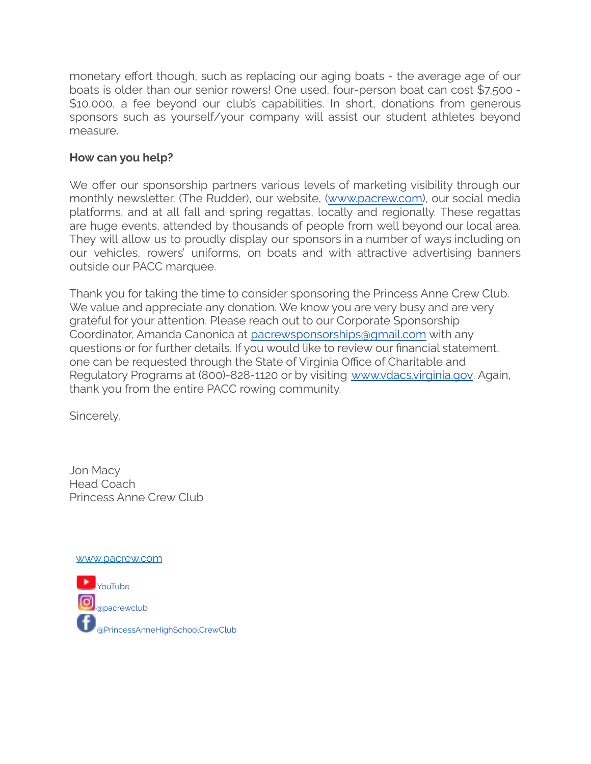monetary effort though, such as replacing our aging boats - the average age of our boats is older than our senior rowers! One used, four-person boat can cost \$7,500 - \$10,000, a fee beyond our club's capabilities. In short, donations from generous sponsors such as yourself/your company will assist our student athletes beyond measure.

# **How can you help?**

We offer our sponsorship partners various levels of marketing visibility through our monthly newsletter, (The Rudder), our website, (www.pacrew.com), our social media platforms, and at all fall and spring regattas, locally and regionally. These regattas are huge events, attended by thousands of people from well beyond our local area. They will allow us to proudly display our sponsors in a number of ways including on our vehicles, rowers' uniforms, on boats and with attractive advertising banners outside our PACC marquee.

Thank you for taking the time to consider sponsoring the Princess Anne Crew Club. We value and appreciate any donation. We know you are very busy and are very grateful for your attention. Please reach out to our Corporate Sponsorship Coordinator, Amanda Canonica at pacrewsponsorships@gmail.com with any questions or for further details. If you would like to review our financial statement, one can be requested through the State of Virginia Office of Charitable and Regulatory Programs at (800)-828-1120 or by visiting www.vdacs.virginia.gov. Again, thank you from the entire PACC rowing community.

Sincerely,

Jon Macy Head Coach Princess Anne Crew Club

www.pacrew.com